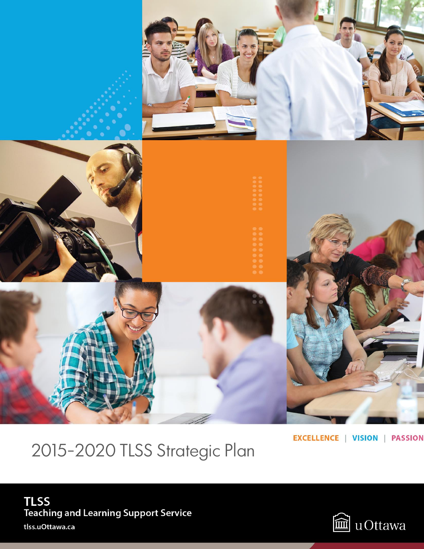

2015-2020 TLSS Strategic Plan

**EXCELLENCE | VISION | PASSION** 

# **TLSS** Teaching and Learning Support Service tlss.uOttawa.ca

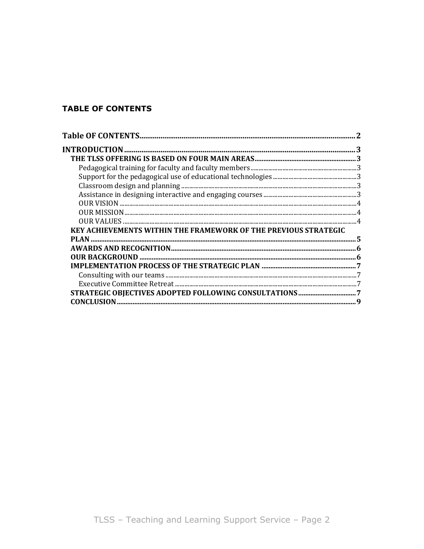# **TABLE OF CONTENTS**

| KEY ACHIEVEMENTS WITHIN THE FRAMEWORK OF THE PREVIOUS STRATEGIC |  |
|-----------------------------------------------------------------|--|
| PIAN                                                            |  |
|                                                                 |  |
|                                                                 |  |
|                                                                 |  |
|                                                                 |  |
|                                                                 |  |
|                                                                 |  |
| CONCLUSION                                                      |  |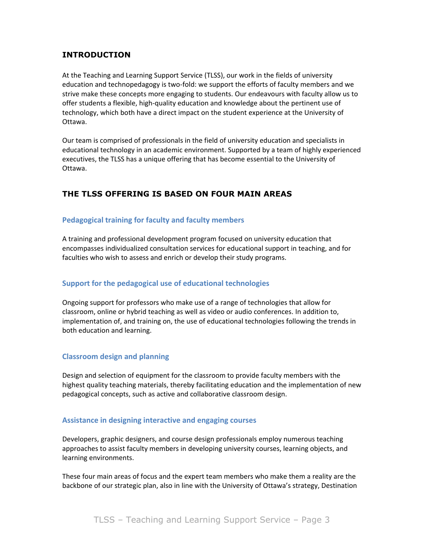# **INTRODUCTION**

At the Teaching and Learning Support Service (TLSS), our work in the fields of university education and technopedagogy is two-fold: we support the efforts of faculty members and we strive make these concepts more engaging to students. Our endeavours with faculty allow us to offer students a flexible, high-quality education and knowledge about the pertinent use of technology, which both have a direct impact on the student experience at the University of Ottawa.

Our team is comprised of professionals in the field of university education and specialists in educational technology in an academic environment. Supported by a team of highly experienced executives, the TLSS has a unique offering that has become essential to the University of Ottawa.

# **THE TLSS OFFERING IS BASED ON FOUR MAIN AREAS**

### **Pedagogical training for faculty and faculty members**

A training and professional development program focused on university education that encompasses individualized consultation services for educational support in teaching, and for faculties who wish to assess and enrich or develop their study programs.

### **Support for the pedagogical use of educational technologies**

Ongoing support for professors who make use of a range of technologies that allow for classroom, online or hybrid teaching as well as video or audio conferences. In addition to, implementation of, and training on, the use of educational technologies following the trends in both education and learning.

### **Classroom design and planning**

Design and selection of equipment for the classroom to provide faculty members with the highest quality teaching materials, thereby facilitating education and the implementation of new pedagogical concepts, such as active and collaborative classroom design.

### **Assistance in designing interactive and engaging courses**

Developers, graphic designers, and course design professionals employ numerous teaching approaches to assist faculty members in developing university courses, learning objects, and learning environments.

These four main areas of focus and the expert team members who make them a reality are the backbone of our strategic plan, also in line with the University of Ottawa's strategy, Destination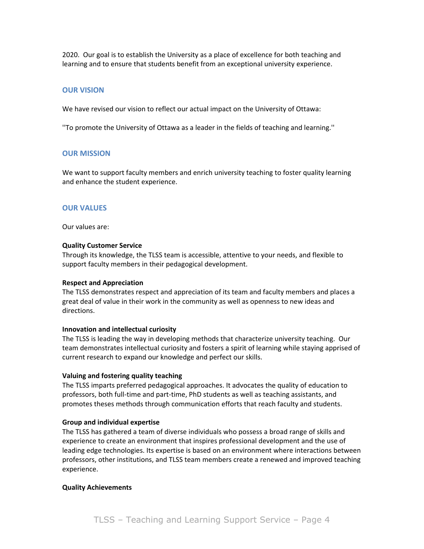2020. Our goal is to establish the University as a place of excellence for both teaching and learning and to ensure that students benefit from an exceptional university experience.

#### **OUR VISION**

We have revised our vision to reflect our actual impact on the University of Ottawa:

''To promote the University of Ottawa as a leader in the fields of teaching and learning.''

#### **OUR MISSION**

We want to support faculty members and enrich university teaching to foster quality learning and enhance the student experience.

#### **OUR VALUES**

Our values are:

#### **Quality Customer Service**

Through its knowledge, the TLSS team is accessible, attentive to your needs, and flexible to support faculty members in their pedagogical development.

#### **Respect and Appreciation**

The TLSS demonstrates respect and appreciation of its team and faculty members and places a great deal of value in their work in the community as well as openness to new ideas and directions.

#### **Innovation and intellectual curiosity**

The TLSS is leading the way in developing methods that characterize university teaching. Our team demonstrates intellectual curiosity and fosters a spirit of learning while staying apprised of current research to expand our knowledge and perfect our skills.

#### **Valuing and fostering quality teaching**

The TLSS imparts preferred pedagogical approaches. It advocates the quality of education to professors, both full-time and part-time, PhD students as well as teaching assistants, and promotes theses methods through communication efforts that reach faculty and students.

#### **Group and individual expertise**

The TLSS has gathered a team of diverse individuals who possess a broad range of skills and experience to create an environment that inspires professional development and the use of leading edge technologies. Its expertise is based on an environment where interactions between professors, other institutions, and TLSS team members create a renewed and improved teaching experience.

#### **Quality Achievements**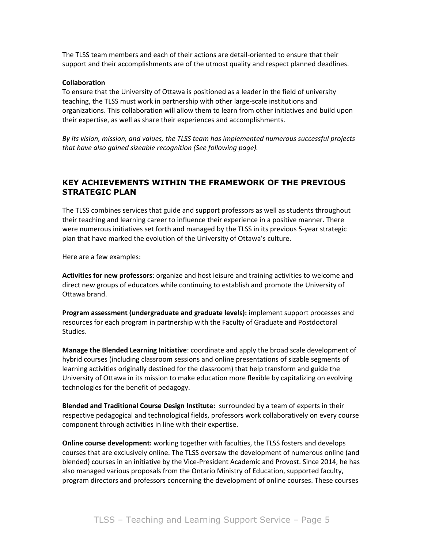The TLSS team members and each of their actions are detail-oriented to ensure that their support and their accomplishments are of the utmost quality and respect planned deadlines.

#### **Collaboration**

To ensure that the University of Ottawa is positioned as a leader in the field of university teaching, the TLSS must work in partnership with other large-scale institutions and organizations. This collaboration will allow them to learn from other initiatives and build upon their expertise, as well as share their experiences and accomplishments.

*By its vision, mission, and values, the TLSS team has implemented numerous successful projects that have also gained sizeable recognition (See following page).* 

### **KEY ACHIEVEMENTS WITHIN THE FRAMEWORK OF THE PREVIOUS STRATEGIC PLAN**

The TLSS combines services that guide and support professors as well as students throughout their teaching and learning career to influence their experience in a positive manner. There were numerous initiatives set forth and managed by the TLSS in its previous 5-year strategic plan that have marked the evolution of the University of Ottawa's culture.

Here are a few examples:

**Activities for new professors**: organize and host leisure and training activities to welcome and direct new groups of educators while continuing to establish and promote the University of Ottawa brand.

**Program assessment (undergraduate and graduate levels):** implement support processes and resources for each program in partnership with the Faculty of Graduate and Postdoctoral Studies.

**Manage the Blended Learning Initiative**: coordinate and apply the broad scale development of hybrid courses (including classroom sessions and online presentations of sizable segments of learning activities originally destined for the classroom) that help transform and guide the University of Ottawa in its mission to make education more flexible by capitalizing on evolving technologies for the benefit of pedagogy.

**Blended and Traditional Course Design Institute:** surrounded by a team of experts in their respective pedagogical and technological fields, professors work collaboratively on every course component through activities in line with their expertise.

**Online course development:** working together with faculties, the TLSS fosters and develops courses that are exclusively online. The TLSS oversaw the development of numerous online (and blended) courses in an initiative by the Vice-President Academic and Provost. Since 2014, he has also managed various proposals from the Ontario Ministry of Education, supported faculty, program directors and professors concerning the development of online courses. These courses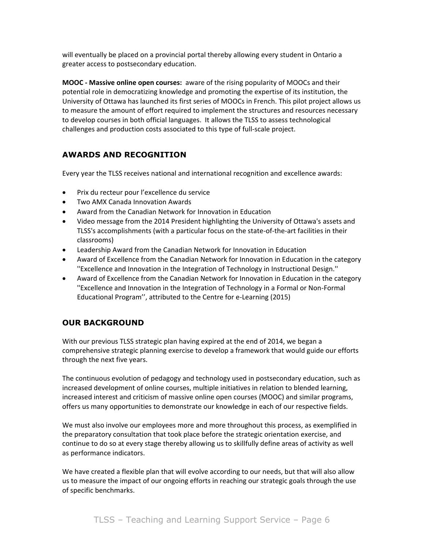will eventually be placed on a provincial portal thereby allowing every student in Ontario a greater access to postsecondary education.

**MOOC - Massive online open courses:** aware of the rising popularity of MOOCs and their potential role in democratizing knowledge and promoting the expertise of its institution, the University of Ottawa has launched its first series of MOOCs in French. This pilot project allows us to measure the amount of effort required to implement the structures and resources necessary to develop courses in both official languages. It allows the TLSS to assess technological challenges and production costs associated to this type of full-scale project.

# **AWARDS AND RECOGNITION**

Every year the TLSS receives national and international recognition and excellence awards:

- Prix du recteur pour l'excellence du service
- Two AMX Canada Innovation Awards
- Award from the Canadian Network for Innovation in Education
- Video message from the 2014 President highlighting the University of Ottawa's assets and TLSS's accomplishments (with a particular focus on the state-of-the-art facilities in their classrooms)
- Leadership Award from the Canadian Network for Innovation in Education
- Award of Excellence from the Canadian Network for Innovation in Education in the category ''Excellence and Innovation in the Integration of Technology in Instructional Design.''
- Award of Excellence from the Canadian Network for Innovation in Education in the category ''Excellence and Innovation in the Integration of Technology in a Formal or Non-Formal Educational Program'', attributed to the Centre for e-Learning (2015)

# **OUR BACKGROUND**

With our previous TLSS strategic plan having expired at the end of 2014, we began a comprehensive strategic planning exercise to develop a framework that would guide our efforts through the next five years.

The continuous evolution of pedagogy and technology used in postsecondary education, such as increased development of online courses, multiple initiatives in relation to blended learning, increased interest and criticism of massive online open courses (MOOC) and similar programs, offers us many opportunities to demonstrate our knowledge in each of our respective fields.

We must also involve our employees more and more throughout this process, as exemplified in the preparatory consultation that took place before the strategic orientation exercise, and continue to do so at every stage thereby allowing us to skillfully define areas of activity as well as performance indicators.

We have created a flexible plan that will evolve according to our needs, but that will also allow us to measure the impact of our ongoing efforts in reaching our strategic goals through the use of specific benchmarks.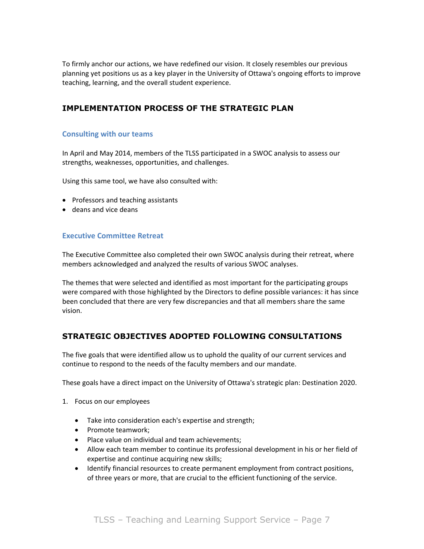To firmly anchor our actions, we have redefined our vision. It closely resembles our previous planning yet positions us as a key player in the University of Ottawa's ongoing efforts to improve teaching, learning, and the overall student experience.

## **IMPLEMENTATION PROCESS OF THE STRATEGIC PLAN**

### **Consulting with our teams**

In April and May 2014, members of the TLSS participated in a SWOC analysis to assess our strengths, weaknesses, opportunities, and challenges.

Using this same tool, we have also consulted with:

- Professors and teaching assistants
- deans and vice deans

### **Executive Committee Retreat**

The Executive Committee also completed their own SWOC analysis during their retreat, where members acknowledged and analyzed the results of various SWOC analyses.

The themes that were selected and identified as most important for the participating groups were compared with those highlighted by the Directors to define possible variances: it has since been concluded that there are very few discrepancies and that all members share the same vision.

### **STRATEGIC OBJECTIVES ADOPTED FOLLOWING CONSULTATIONS**

The five goals that were identified allow us to uphold the quality of our current services and continue to respond to the needs of the faculty members and our mandate.

These goals have a direct impact on the University of Ottawa's strategic plan: Destination 2020.

- 1. Focus on our employees
	- Take into consideration each's expertise and strength;
	- Promote teamwork:
	- Place value on individual and team achievements;
	- Allow each team member to continue its professional development in his or her field of expertise and continue acquiring new skills;
	- Identify financial resources to create permanent employment from contract positions, of three years or more, that are crucial to the efficient functioning of the service.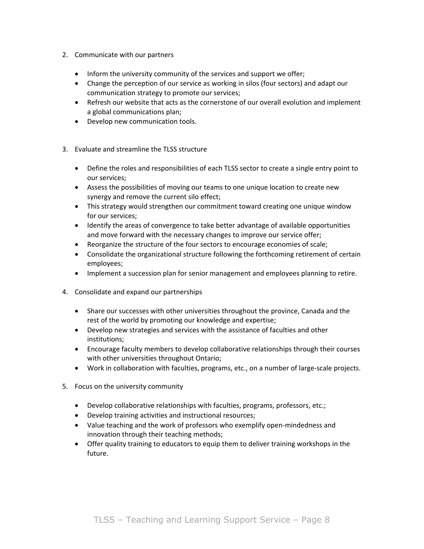- 2. Communicate with our partners
	- Inform the university community of the services and support we offer;
	- Change the perception of our service as working in silos (four sectors) and adapt our communication strategy to promote our services;
	- Refresh our website that acts as the cornerstone of our overall evolution and implement a global communications plan;
	- Develop new communication tools.
- 3. Evaluate and streamline the TLSS structure
	- Define the roles and responsibilities of each TLSS sector to create a single entry point to our services;
	- Assess the possibilities of moving our teams to one unique location to create new synergy and remove the current silo effect;
	- This strategy would strengthen our commitment toward creating one unique window for our services;
	- Identify the areas of convergence to take better advantage of available opportunities and move forward with the necessary changes to improve our service offer;
	- Reorganize the structure of the four sectors to encourage economies of scale;
	- Consolidate the organizational structure following the forthcoming retirement of certain employees;
	- Implement a succession plan for senior management and employees planning to retire.
- 4. Consolidate and expand our partnerships
	- Share our successes with other universities throughout the province, Canada and the rest of the world by promoting our knowledge and expertise;
	- Develop new strategies and services with the assistance of faculties and other institutions;
	- Encourage faculty members to develop collaborative relationships through their courses with other universities throughout Ontario;
	- Work in collaboration with faculties, programs, etc., on a number of large-scale projects.
- 5. Focus on the university community
	- Develop collaborative relationships with faculties, programs, professors, etc.;
	- Develop training activities and instructional resources;
	- Value teaching and the work of professors who exemplify open-mindedness and innovation through their teaching methods;
	- Offer quality training to educators to equip them to deliver training workshops in the future.